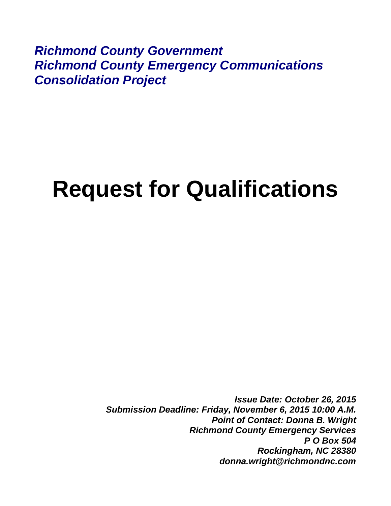*Richmond County Government Richmond County Emergency Communications Consolidation Project*

# **Request for Qualifications**

*Issue Date: October 26, 2015 Submission Deadline: Friday, November 6, 2015 10:00 A.M. Point of Contact: Donna B. Wright Richmond County Emergency Services P O Box 504 Rockingham, NC 28380 donna.wright@richmondnc.com*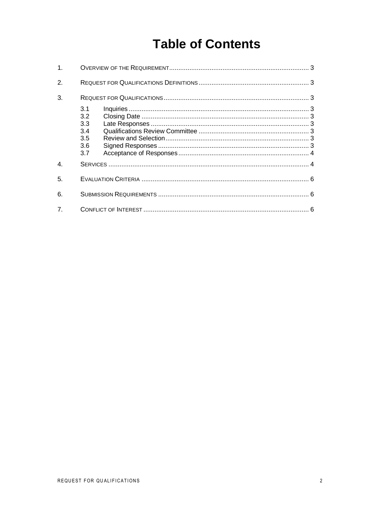## **Table of Contents**

| 1 <sub>1</sub>   |                                                           |  |  |
|------------------|-----------------------------------------------------------|--|--|
| $\overline{2}$ . |                                                           |  |  |
| 3.               |                                                           |  |  |
|                  | $\overline{3}1$<br>3.2<br>3.3<br>3.4<br>3.5<br>3.6<br>3.7 |  |  |
| 4                |                                                           |  |  |
| 5.               |                                                           |  |  |
| 6.               |                                                           |  |  |
| $\overline{7}$ . |                                                           |  |  |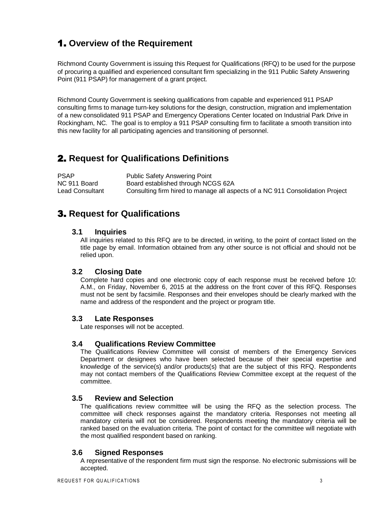## 1. **Overview of the Requirement**

Richmond County Government is issuing this Request for Qualifications (RFQ) to be used for the purpose of procuring a qualified and experienced consultant firm specializing in the 911 Public Safety Answering Point (911 PSAP) for management of a grant project.

Richmond County Government is seeking qualifications from capable and experienced 911 PSAP consulting firms to manage turn-key solutions for the design, construction, migration and implementation of a new consolidated 911 PSAP and Emergency Operations Center located on Industrial Park Drive in Rockingham, NC. The goal is to employ a 911 PSAP consulting firm to facilitate a smooth transition into this new facility for all participating agencies and transitioning of personnel.

## 2. **Request for Qualifications Definitions**

| <b>PSAP</b>     | <b>Public Safety Answering Point</b>                                          |
|-----------------|-------------------------------------------------------------------------------|
| NC 911 Board    | Board established through NCGS 62A                                            |
| Lead Consultant | Consulting firm hired to manage all aspects of a NC 911 Consolidation Project |

## 3. **Request for Qualifications**

#### **3.1 Inquiries**

All inquiries related to this RFQ are to be directed, in writing, to the point of contact listed on the title page by email. Information obtained from any other source is not official and should not be relied upon.

#### **3.2 Closing Date**

Complete hard copies and one electronic copy of each response must be received before 10: A.M., on Friday, November 6, 2015 at the address on the front cover of this RFQ. Responses must not be sent by facsimile. Responses and their envelopes should be clearly marked with the name and address of the respondent and the project or program title.

#### **3.3 Late Responses**

Late responses will not be accepted.

#### **3.4 Qualifications Review Committee**

The Qualifications Review Committee will consist of members of the Emergency Services Department or designees who have been selected because of their special expertise and knowledge of the service(s) and/or products(s) that are the subject of this RFQ. Respondents may not contact members of the Qualifications Review Committee except at the request of the committee.

#### **3.5 Review and Selection**

The qualifications review committee will be using the RFQ as the selection process. The committee will check responses against the mandatory criteria. Responses not meeting all mandatory criteria will not be considered. Respondents meeting the mandatory criteria will be ranked based on the evaluation criteria. The point of contact for the committee will negotiate with the most qualified respondent based on ranking.

#### **3.6 Signed Responses**

A representative of the respondent firm must sign the response. No electronic submissions will be accepted.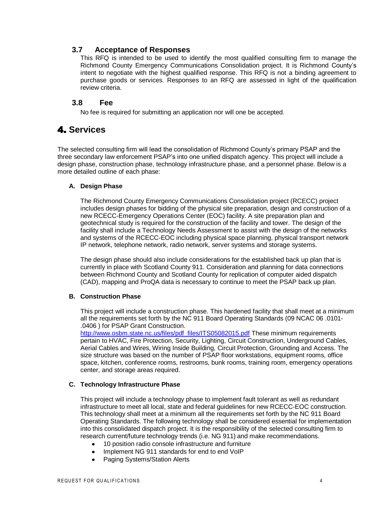#### **3.7 Acceptance of Responses**

This RFQ is intended to be used to identify the most qualified consulting firm to manage the Richmond County Emergency Communications Consolidation project. It is Richmond County's intent to negotiate with the highest qualified response. This RFQ is not a binding agreement to purchase goods or services. Responses to an RFQ are assessed in light of the qualification review criteria.

#### **3.8 Fee**

No fee is required for submitting an application nor will one be accepted.

## 4. **Services**

The selected consulting firm will lead the consolidation of Richmond County's primary PSAP and the three secondary law enforcement PSAP's into one unified dispatch agency. This project will include a design phase, construction phase, technology infrastructure phase, and a personnel phase. Below is a more detailed outline of each phase:

#### **A. Design Phase**

The Richmond County Emergency Communications Consolidation project (RCECC) project includes design phases for bidding of the physical site preparation, design and construction of a new RCECC-Emergency Operations Center (EOC) facility. A site preparation plan and geotechnical study is required for the construction of the facility and tower. The design of the facility shall include a Technology Needs Assessment to assist with the design of the networks and systems of the RCECC-EOC including physical space planning, physical transport network IP network, telephone network, radio network, server systems and storage systems.

The design phase should also include considerations for the established back up plan that is currently in place with Scotland County 911. Consideration and planning for data connections between Richmond County and Scotland County for replication of computer aided dispatch (CAD), mapping and ProQA data is necessary to continue to meet the PSAP back up plan.

#### **B. Construction Phase**

This project will include a construction phase. This hardened facility that shall meet at a minimum all the requirements set forth by the NC 911 Board Operating Standards (09 NCAC 06 .0101- .0406 ) for PSAP Grant Construction.

[http://www.osbm.state.nc.us/files/pdf\\_files/ITS05082015.pdf](http://www.osbm.state.nc.us/files/pdf_files/ITS05082015.pdf) These minimum requirements pertain to HVAC, Fire Protection, Security, Lighting, Circuit Construction, Underground Cables, Aerial Cables and Wires, Wiring Inside Building, Circuit Protection, Grounding and Access. The size structure was based on the number of PSAP floor workstations, equipment rooms, office space, kitchen, conference rooms, restrooms, bunk rooms, training room, emergency operations center, and storage areas required.

#### **C. Technology Infrastructure Phase**

This project will include a technology phase to implement fault tolerant as well as redundant infrastructure to meet all local, state and federal guidelines for new RCECC-EOC construction. This technology shall meet at a minimum all the requirements set forth by the NC 911 Board Operating Standards. The following technology shall be considered essential for implementation into this consolidated dispatch project. It is the responsibility of the selected consulting firm to research current/future technology trends (i.e. NG 911) and make recommendations.

- 10 position radio console infrastructure and furniture  $\bullet$
- Implement NG 911 standards for end to end VoIP
- Paging Systems/Station Alerts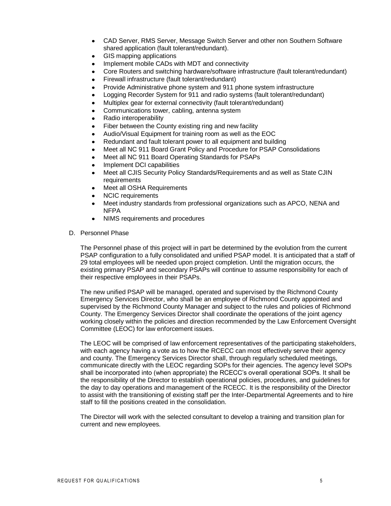- $\bullet$ CAD Server, RMS Server, Message Switch Server and other non Southern Software shared application (fault tolerant/redundant).
- GIS mapping applications
- Implement mobile CADs with MDT and connectivity
- Core Routers and switching hardware/software infrastructure (fault tolerant/redundant)  $\bullet$
- Firewall infrastructure (fault tolerant/redundant)
- Provide Administrative phone system and 911 phone system infrastructure
- Logging Recorder System for 911 and radio systems (fault tolerant/redundant)
- Multiplex gear for external connectivity (fault tolerant/redundant)
- Communications tower, cabling, antenna system
- Radio interoperability
- Fiber between the County existing ring and new facility
- Audio/Visual Equipment for training room as well as the EOC
- Redundant and fault tolerant power to all equipment and building
- Meet all NC 911 Board Grant Policy and Procedure for PSAP Consolidations
- Meet all NC 911 Board Operating Standards for PSAPs
- Implement DCI capabilities
- Meet all CJIS Security Policy Standards/Requirements and as well as State CJIN requirements
- Meet all OSHA Requirements
- NCIC requirements
- Meet industry standards from professional organizations such as APCO, NENA and NFPA
- NIMS requirements and procedures  $\bullet$
- D. Personnel Phase

The Personnel phase of this project will in part be determined by the evolution from the current PSAP configuration to a fully consolidated and unified PSAP model. It is anticipated that a staff of 29 total employees will be needed upon project completion. Until the migration occurs, the existing primary PSAP and secondary PSAPs will continue to assume responsibility for each of their respective employees in their PSAPs.

The new unified PSAP will be managed, operated and supervised by the Richmond County Emergency Services Director, who shall be an employee of Richmond County appointed and supervised by the Richmond County Manager and subject to the rules and policies of Richmond County. The Emergency Services Director shall coordinate the operations of the joint agency working closely within the policies and direction recommended by the Law Enforcement Oversight Committee (LEOC) for law enforcement issues.

The LEOC will be comprised of law enforcement representatives of the participating stakeholders, with each agency having a vote as to how the RCECC can most effectively serve their agency and county. The Emergency Services Director shall, through regularly scheduled meetings, communicate directly with the LEOC regarding SOPs for their agencies. The agency level SOPs shall be incorporated into (when appropriate) the RCECC's overall operational SOPs. It shall be the responsibility of the Director to establish operational policies, procedures, and guidelines for the day to day operations and management of the RCECC. It is the responsibility of the Director to assist with the transitioning of existing staff per the Inter-Departmental Agreements and to hire staff to fill the positions created in the consolidation.

The Director will work with the selected consultant to develop a training and transition plan for current and new employees.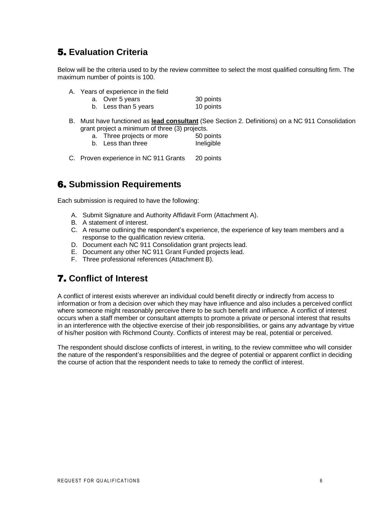## 5. **Evaluation Criteria**

Below will be the criteria used to by the review committee to select the most qualified consulting firm. The maximum number of points is 100.

A. Years of experience in the field

a. Over 5 years 30 points

- b. Less than 5 years 10 points
- B. Must have functioned as **lead consultant** (See Section 2. Definitions) on a NC 911 Consolidation grant project a minimum of three (3) projects.
	- a. Three projects or more 50 points b. Less than three Ineligible
- C. Proven experience in NC 911 Grants 20 points

## 6. **Submission Requirements**

Each submission is required to have the following:

- A. Submit Signature and Authority Affidavit Form (Attachment A).
- B. A statement of interest.
- C. A resume outlining the respondent's experience, the experience of key team members and a response to the qualification review criteria.
- D. Document each NC 911 Consolidation grant projects lead.
- E. Document any other NC 911 Grant Funded projects lead.
- F. Three professional references (Attachment B).

## 7. **Conflict of Interest**

A conflict of interest exists wherever an individual could benefit directly or indirectly from access to information or from a decision over which they may have influence and also includes a perceived conflict where someone might reasonably perceive there to be such benefit and influence. A conflict of interest occurs when a staff member or consultant attempts to promote a private or personal interest that results in an interference with the objective exercise of their job responsibilities, or gains any advantage by virtue of his/her position with Richmond County. Conflicts of interest may be real, potential or perceived.

The respondent should disclose conflicts of interest, in writing, to the review committee who will consider the nature of the respondent's responsibilities and the degree of potential or apparent conflict in deciding the course of action that the respondent needs to take to remedy the conflict of interest.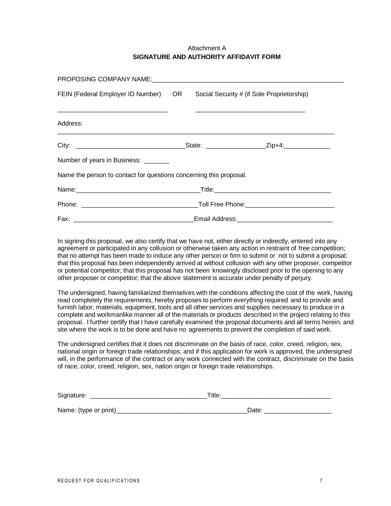#### Attachment A **SIGNATURE AND AUTHORITY AFFIDAVIT FORM**

| FEIN (Federal Employer ID Number) OR                               |  |                                                                                                                      | Social Security # (if Sole Proprietorship) |  |  |  |
|--------------------------------------------------------------------|--|----------------------------------------------------------------------------------------------------------------------|--------------------------------------------|--|--|--|
| Address:                                                           |  | <u> 1990 - Jan James James James James James James James James James James James James James James James James J</u> |                                            |  |  |  |
|                                                                    |  |                                                                                                                      |                                            |  |  |  |
| Number of years in Business: _______                               |  |                                                                                                                      |                                            |  |  |  |
| Name the person to contact for questions concerning this proposal. |  |                                                                                                                      |                                            |  |  |  |
|                                                                    |  |                                                                                                                      |                                            |  |  |  |
|                                                                    |  |                                                                                                                      |                                            |  |  |  |
|                                                                    |  |                                                                                                                      |                                            |  |  |  |

In signing this proposal, we also certify that we have not, either directly or indirectly, entered into any agreement or participated in any collusion or otherwise taken any action in restraint of free competition; that no attempt has been made to induce any other person or firm to submit or not to submit a proposal; that this proposal has been independently arrived at without collusion with any other proposer, competitor or potential competitor; that this proposal has not been knowingly disclosed prior to the opening to any other proposer or competitor; that the above statement is accurate under penalty of perjury.

The undersigned, having familiarized themselves with the conditions affecting the cost of the work, having read completely the requirements, hereby proposes to perform everything required and to provide and furnish labor, materials, equipment, tools and all other services and supplies necessary to produce in a complete and workmanlike manner all of the materials or products described in the project relating to this proposal. I further certify that I have carefully examined the proposal documents and all terms herein, and site where the work is to be done and have no agreements to prevent the completion of said work.

The undersigned certifies that it does not discriminate on the basis of race, color, creed, religion, sex, national origin or foreign trade relationships; and if this application for work is approved, the undersigned will, in the performance of the contract or any work connected with the contract, discriminate on the basis of race, color, creed, religion, sex, nation origin or foreign trade relationships.

| Signature:             | Title: |  |  |
|------------------------|--------|--|--|
|                        |        |  |  |
| Name: (type or print)_ | Date:  |  |  |